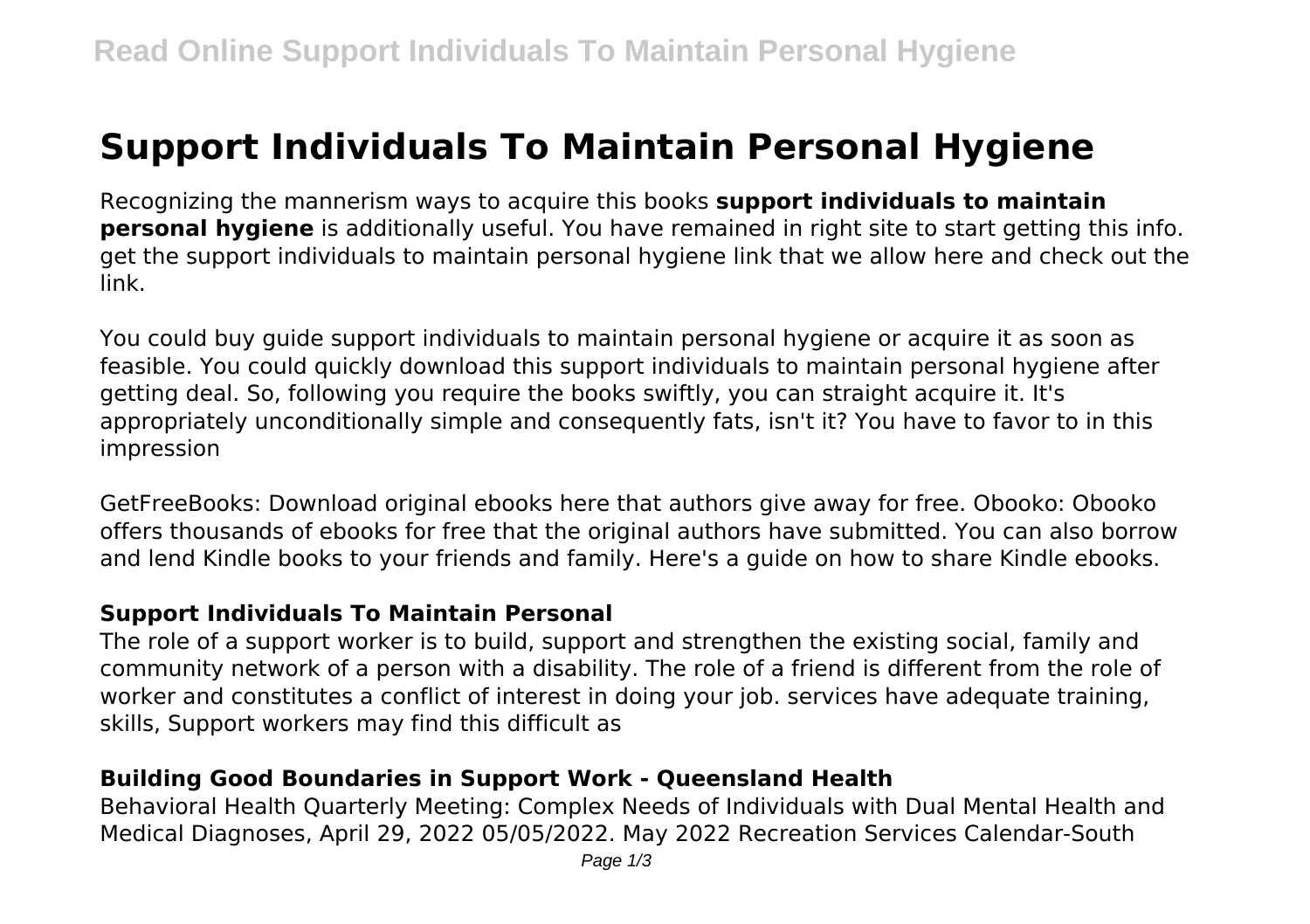# **Support Individuals To Maintain Personal Hygiene**

Recognizing the mannerism ways to acquire this books **support individuals to maintain personal hygiene** is additionally useful. You have remained in right site to start getting this info. get the support individuals to maintain personal hygiene link that we allow here and check out the link.

You could buy guide support individuals to maintain personal hygiene or acquire it as soon as feasible. You could quickly download this support individuals to maintain personal hygiene after getting deal. So, following you require the books swiftly, you can straight acquire it. It's appropriately unconditionally simple and consequently fats, isn't it? You have to favor to in this impression

GetFreeBooks: Download original ebooks here that authors give away for free. Obooko: Obooko offers thousands of ebooks for free that the original authors have submitted. You can also borrow and lend Kindle books to your friends and family. Here's a guide on how to share Kindle ebooks.

#### **Support Individuals To Maintain Personal**

The role of a support worker is to build, support and strengthen the existing social, family and community network of a person with a disability. The role of a friend is different from the role of worker and constitutes a conflict of interest in doing your job. services have adequate training, skills, Support workers may find this difficult as

## **Building Good Boundaries in Support Work - Queensland Health**

Behavioral Health Quarterly Meeting: Complex Needs of Individuals with Dual Mental Health and Medical Diagnoses, April 29, 2022 05/05/2022. May 2022 Recreation Services Calendar-South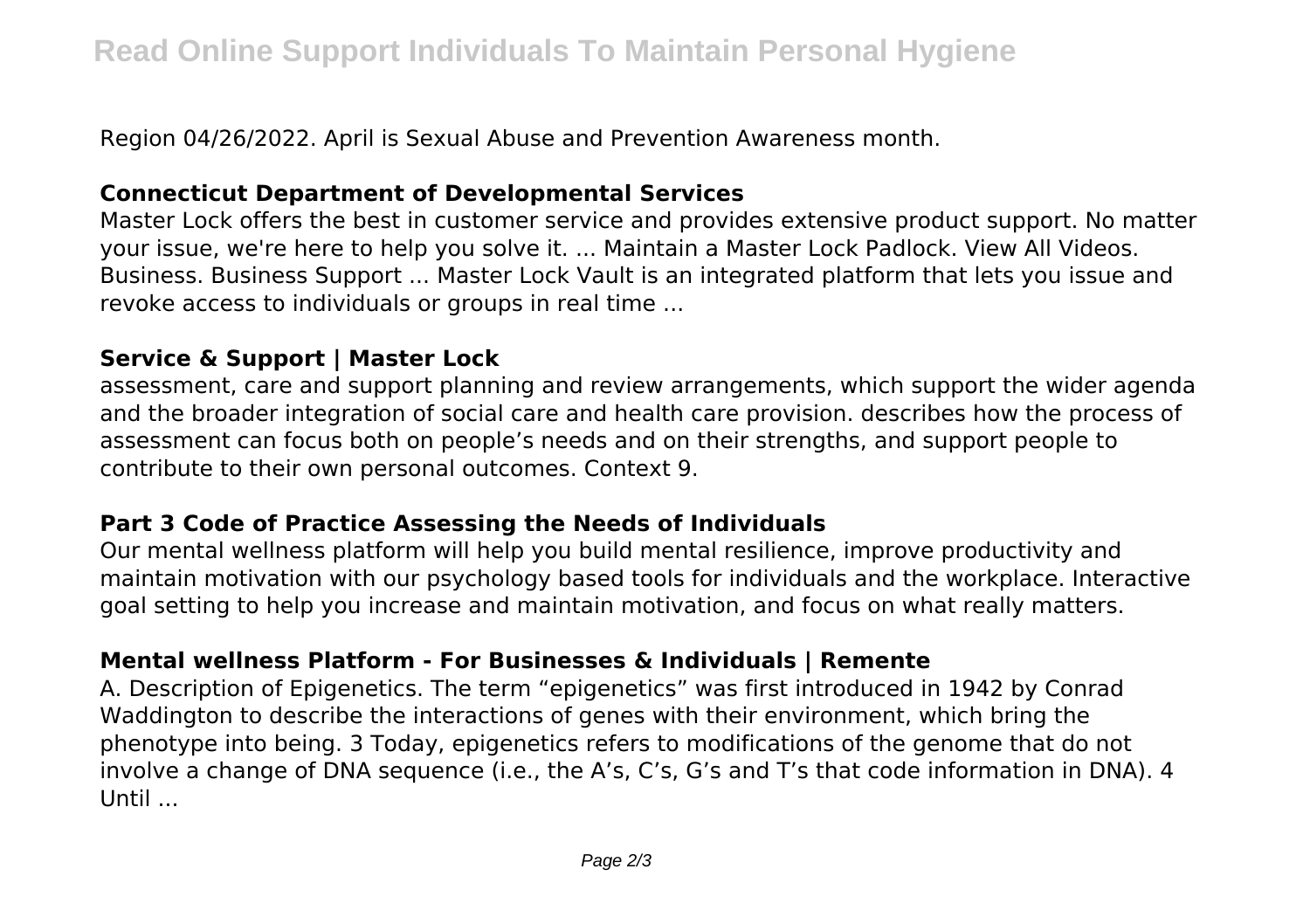Region 04/26/2022. April is Sexual Abuse and Prevention Awareness month.

### **Connecticut Department of Developmental Services**

Master Lock offers the best in customer service and provides extensive product support. No matter your issue, we're here to help you solve it. ... Maintain a Master Lock Padlock. View All Videos. Business. Business Support ... Master Lock Vault is an integrated platform that lets you issue and revoke access to individuals or groups in real time ...

### **Service & Support | Master Lock**

assessment, care and support planning and review arrangements, which support the wider agenda and the broader integration of social care and health care provision. describes how the process of assessment can focus both on people's needs and on their strengths, and support people to contribute to their own personal outcomes. Context 9.

## **Part 3 Code of Practice Assessing the Needs of Individuals**

Our mental wellness platform will help you build mental resilience, improve productivity and maintain motivation with our psychology based tools for individuals and the workplace. Interactive goal setting to help you increase and maintain motivation, and focus on what really matters.

## **Mental wellness Platform - For Businesses & Individuals | Remente**

A. Description of Epigenetics. The term "epigenetics" was first introduced in 1942 by Conrad Waddington to describe the interactions of genes with their environment, which bring the phenotype into being. 3 Today, epigenetics refers to modifications of the genome that do not involve a change of DNA sequence (i.e., the A's, C's, G's and T's that code information in DNA). 4 Until ...